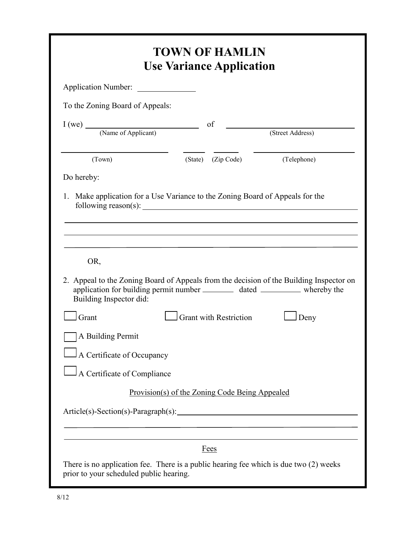| Application Number:                                                                                              |                                                |                  |
|------------------------------------------------------------------------------------------------------------------|------------------------------------------------|------------------|
| To the Zoning Board of Appeals:                                                                                  |                                                |                  |
| $I (we)$ (Name of Applicant) of                                                                                  |                                                | (Street Address) |
| (Town)                                                                                                           | (State) (Zip Code)                             | (Telephone)      |
| Do hereby:                                                                                                       |                                                |                  |
| Make application for a Use Variance to the Zoning Board of Appeals for the<br>1.                                 |                                                |                  |
| OR,                                                                                                              |                                                |                  |
| application for building permit number _____________ dated ______________ whereby the<br>Building Inspector did: |                                                |                  |
| Grant                                                                                                            | <b>Grant with Restriction</b>                  | Deny             |
| A Building Permit                                                                                                |                                                |                  |
| A Certificate of Occupancy                                                                                       |                                                |                  |
| A Certificate of Compliance                                                                                      |                                                |                  |
|                                                                                                                  | Provision(s) of the Zoning Code Being Appealed |                  |
| 2. Appeal to the Zoning Board of Appeals from the decision of the Building Inspector on                          |                                                |                  |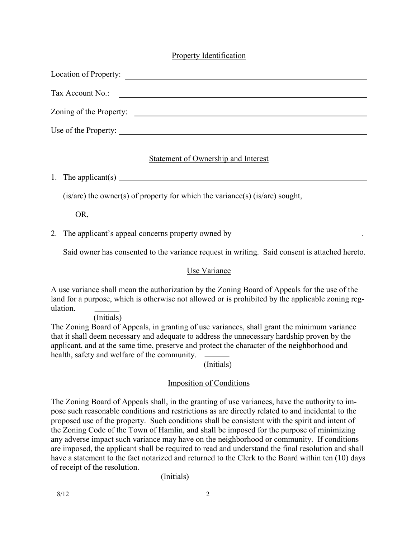## Property Identification

| Location of Property:                                                                                                                    |
|------------------------------------------------------------------------------------------------------------------------------------------|
| Tax Account No.:<br><u> 1980 - Jan Stein Stein Stein Stein Stein Stein Stein Stein Stein Stein Stein Stein Stein Stein Stein Stein S</u> |
| Zoning of the Property:                                                                                                                  |
| Use of the Property:                                                                                                                     |

#### Statement of Ownership and Interest

1. The applicant(s)

(is/are) the owner(s) of property for which the variance(s) (is/are) sought,

OR,

2. The applicant's appeal concerns property owned by .

Said owner has consented to the variance request in writing. Said consent is attached hereto.

## Use Variance

A use variance shall mean the authorization by the Zoning Board of Appeals for the use of the land for a purpose, which is otherwise not allowed or is prohibited by the applicable zoning regulation.

(Initials)

The Zoning Board of Appeals, in granting of use variances, shall grant the minimum variance that it shall deem necessary and adequate to address the unnecessary hardship proven by the applicant, and at the same time, preserve and protect the character of the neighborhood and health, safety and welfare of the community.

(Initials)

## Imposition of Conditions

The Zoning Board of Appeals shall, in the granting of use variances, have the authority to impose such reasonable conditions and restrictions as are directly related to and incidental to the proposed use of the property. Such conditions shall be consistent with the spirit and intent of the Zoning Code of the Town of Hamlin, and shall be imposed for the purpose of minimizing any adverse impact such variance may have on the neighborhood or community. If conditions are imposed, the applicant shall be required to read and understand the final resolution and shall have a statement to the fact notarized and returned to the Clerk to the Board within ten (10) days of receipt of the resolution.

(Initials)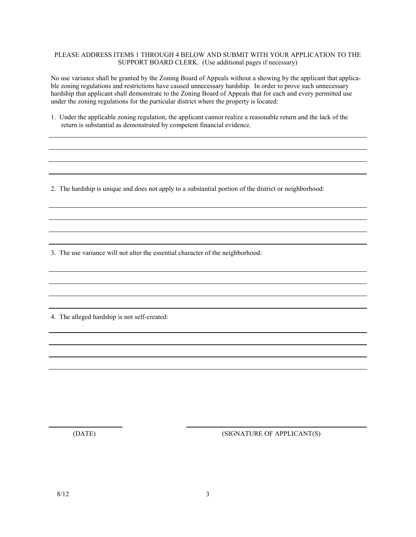#### PLEASE ADDRESS ITEMS 1 THROUGH 4 BELOW AND SUBMIT WITH YOUR APPLICATION TO THE SUPPORT BOARD CLERK. (Use additional pages if necessary)

No use variance shall be granted by the Zoning Board of Appeals without a showing by the applicant that applicable zoning regulations and restrictions have caused unnecessary hardship. In order to prove such unnecessary hardship that applicant shall demonstrate to the Zoning Board of Appeals that for each and every permitted use under the zoning regulations for the particular district where the property is located:

1. Under the applicable zoning regulation, the applicant cannot realize a reasonable return and the lack of the return is substantial as demonstrated by competent financial evidence.

2. The hardship is unique and does not apply to a substantial portion of the district or neighborhood:

3. The use variance will not alter the essential character of the neighborhood:

4. The alleged hardship is not self-created:

(DATE) (SIGNATURE OF APPLICANT(S)